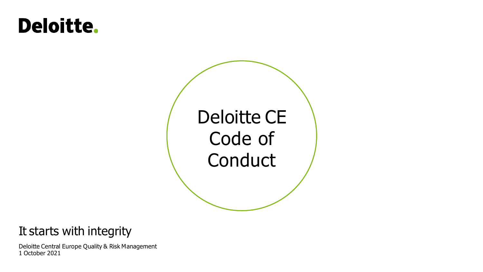# **Deloitte.**



# It starts with integrity

Deloitte Central Europe Quality & Risk Management 1 October 2021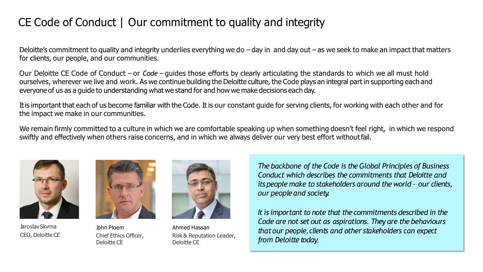# CE Code of Conduct | Our commitment to quality and integrity

Deloitte's commitment to quality and integrity underlies everything we do  $-$  day in and day out  $-$  as we seek to make an impact that matters for clients, our people, and our communities.

Our Deloitte CE Code of Conduct – or *Code* – guides those efforts by clearly articulating the standards to which we all must hold ourselves, wherever we live and work. As we continue building the Deloitte culture, the Code plays an integral part in supporting each and everyone of us as a guide to understanding what we stand for and how we make decisions each day.

Itis important that each of us become familiar with the Code. It is our constant guide for serving clients, for working with each other and for the impact we make in our communities.

We remain firmly committed to a culture in which we are comfortable speaking up when something doesn't feel right, in which we respond swiftly and effectively when others raise concerns, and in which we always deliver our very best effort without fail.



JaroslavSkvrna CEO, Deloitte CE



John Ploem Chief Ethics Officer, Deloitte CE



Ahmed Hassan Risk & Reputation Leader, Deloitte CE

*The backbone of the Code is the Global Principles of Business Conduct which describes the commitments that Deloitte and its people make to stakeholders around the world – our clients, our peopleand society.*

*It is important to note that the commitments described in the Code are not set out as aspirations. They are the behaviours thatour people,clients and other stakeholders can expect from Deloitte today.*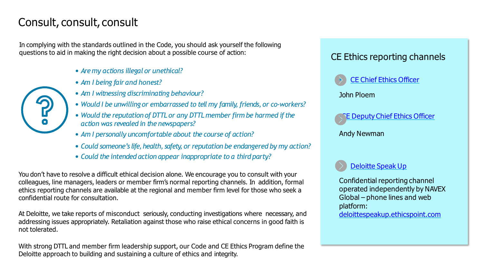## Consult, consult, consult

In complying with the standards outlined in the Code, you should ask yourself the following questions to aid in making the right decision about a possible course of action:

- *Aremy actions illegalor unethical?*
- *Am I being fair and honest?*
- *Am I witnessing discriminating behaviour?*
- *Would I be unwilling or embarrassed to tell my family, friends, or co-workers?*
- *Would the reputation of DTTL or any DTTL member firm be harmed if the action was revealed in the newspapers?*
- *Am I personally uncomfortable about the course of action?*
- *Could someone's life,health, safety, or reputation be endangered by my action?*
- *Could the intended action appear inappropriate to a third party?*

You don't have to resolve a difficult ethical decision alone. We encourage you to consult with your colleagues, line managers, leaders or member firm's normal reporting channels. In addition, formal ethics reporting channels are available at the regional and member firm level for those who seek a confidential route for consultation.

At Deloitte, we take reports of misconduct seriously, conducting investigations where necessary, and addressing issues appropriately. Retaliation against those who raise ethical concerns in good faith is not tolerated.

With strong DTTL and member firm leadership support, our Code and CE Ethics Program define the Deloitte approach to building and sustaining a culture of ethics and integrity.

## CE Ethics reporting channels



John Ploem



Andy Newman



Confidential reporting channel operated independently by NAVEX Global – phone lines and web platform:

[deloittespeakup.ethicspoint.com](https://secure.ethicspoint.eu/domain/media/en/gui/104668/index.html)

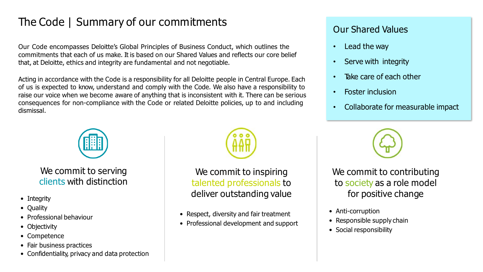# The Code | Summary of our commitments

Our Code encompasses Deloitte's Global Principles of Business Conduct, which outlines the commitments that each of us make. It is based on our Shared Values and reflects our core belief that, at Deloitte, ethics and integrity are fundamental and not negotiable.

Acting in accordance with the Code is a responsibility for all Deloitte people in Central Europe. Each of us is expected to know, understand and comply with the Code. We also have a responsibility to raise our voice when we become aware of anything that is inconsistent with it. There can be serious consequences for non-compliance with the Code or related Deloitte policies, up to and including dismissal.



We commit to serving clients with distinction

- Integrity
- Quality
- Professional behaviour
- Objectivity
- Competence
- Fair business practices
- Confidentiality, privacy and data protection



We commit to inspiring talented professionals to deliver outstanding value

- Respect, diversity and fair treatment
- Professional development and support

## Our Shared Values

- Lead the way
- Serve with integrity
- Take care of each other
- Foster inclusion
- Collaborate for measurable impact



We commit to contributing to society as a role model for positive change

- Anti-corruption
- Responsible supply chain
- Social responsibility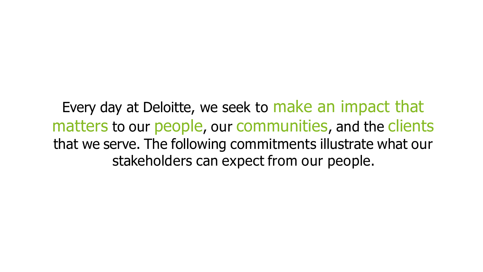Every day at Deloitte, we seek to make an impact that matters to our people, our communities, and the clients that we serve. The following commitments illustrate what our stakeholders can expect from our people.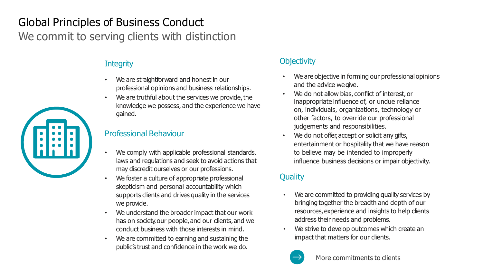# Global Principles of Business Conduct We commit to serving clients with distinction

## **Integrity**

- We are straightforward and honest in our professional opinions and business relationships.
- We are truthful about the services we provide, the knowledge we possess, and the experience we have gained.

### Professional Behaviour

- We comply with applicable professional standards, laws and regulations and seek to avoid actions that may discredit ourselves or our professions.
- We foster a culture of appropriate professional skepticism and personal accountability which supports clients and drives quality in the services we provide.
- We understand the broader impact that our work has on society, our people, and our clients, and we conduct business with those interests in mind.
- We are committed to earning and sustaining the public's trust and confidence in the work we do.

## **Objectivity**

- We are objective in forming our professional opinions and the advice wegive.
- We do not allow bias, conflict of interest, or inappropriate influence of, or undue reliance on, individuals, organizations, technology or other factors, to override our professional judgements and responsibilities.
- We do not offer, accept or solicit any gifts, entertainment or hospitality that we have reason to believe may be intended to improperly influence business decisions or impair objectivity.

## **Quality**

- We are committed to providing quality services by bringing together the breadth and depth of our resources, experience and insights to help clients address their needs and problems.
- We strive to develop outcomes which create an impact that matters for our clients.



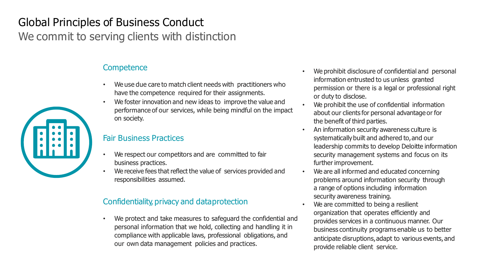# Global Principles of Business Conduct We commit to serving clients with distinction

### **Competence**

- We use due care to match client needs with practitioners who have the competence required for their assignments.
- We foster innovation and new ideas to improve the value and performance of our services, while being mindful on the impact on society.

#### Fair Business Practices

- We respect our competitors and are committed to fair business practices.
- We receive fees that reflect the value of services provided and responsibilities assumed.

#### Confidentiality, privacy and dataprotection

We protect and take measures to safeguard the confidential and personal information that we hold, collecting and handling it in compliance with applicable laws, professional obligations, and our own data management policies and practices.

- We prohibit disclosure of confidential and personal information entrusted to us unless granted permission or there is a legal or professional right or duty to disclose.
- We prohibit the use of confidential information about our clients for personal advantage or for the benefit of third parties.
- An information security awareness culture is systematically built and adhered to, and our leadership commits to develop Deloitte information security management systems and focus on its further improvement.
- We are all informed and educated concerning problems around information security through a range of options including information security awareness training.
- We are committed to being a resilient organization that operates efficiently and provides services in a continuous manner. Our business continuity programs enable us to better anticipate disruptions,adapt to various events, and provide reliable client service.

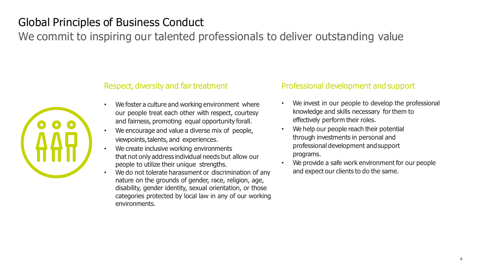# Global Principles of Business Conduct

We commit to inspiring our talented professionals to deliver outstanding value



#### Respect, diversity and fair treatment

- We foster a culture and working environment where our people treat each other with respect, courtesy and fairness, promoting equal opportunity forall.
- We encourage and value a diverse mix of people, viewpoints, talents, and experiences.
- We create inclusive working environments that not only address individual needs but allow our people to utilize their unique strengths.
- We do not tolerate harassment or discrimination of any nature on the grounds of gender, race, religion, age, disability, gender identity, sexual orientation, or those categories protected by local law in any of our working environments.

#### Professional development and support

- We invest in our people to develop the professional knowledge and skills necessary for them to effectively perform their roles.
- We help our people reach their potential through investments in personal and professional development andsupport programs.
- We provide a safe work environment for our people and expect our clients to do the same.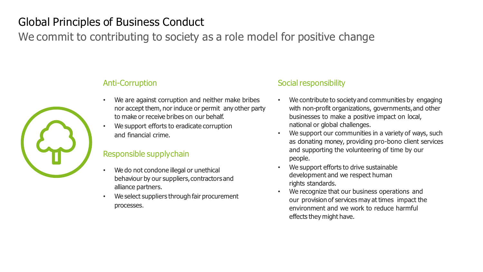# Global Principles of Business Conduct

We commit to contributing to society as a role model for positive change



#### Anti-Corruption

- We are against corruption and neither make bribes nor accept them, nor induce or permit any other party to make or receive bribes on our behalf.
- We support efforts to eradicate corruption and financial crime.

#### Responsible supplychain

- We do not condone illegal or unethical behaviour by our suppliers,contractorsand alliance partners.
- We select suppliers through fair procurement processes.

#### Social responsibility

- We contribute to society and communities by engaging with non-profit organizations, governments, and other businesses to make a positive impact on local, national or global challenges.
- We support our communities in a variety of ways, such as donating money, providing pro-bono client services and supporting the volunteering of time by our people.
- We support efforts to drive sustainable development and we respect human rights standards.
- We recognize that our business operations and our provision of services may at times impact the environment and we work to reduce harmful effects they might have.